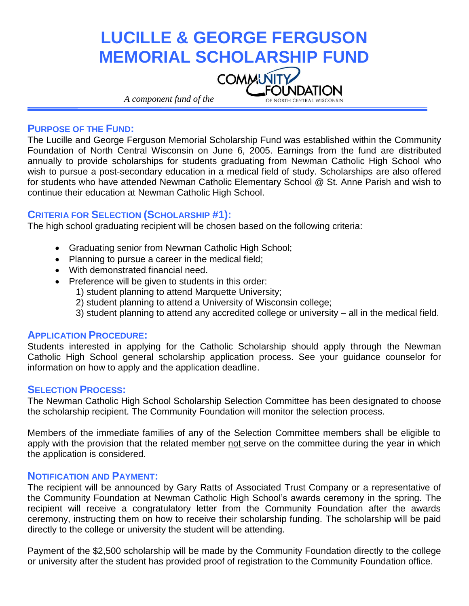# **LUCILLE & GEORGE FERGUSON MEMORIAL SCHOLARSHIP FUND COMMUNITY** *A component fund of the* OF NORTH CENTRAL WISCONSIN

#### **PURPOSE OF THE FUND:**

The Lucille and George Ferguson Memorial Scholarship Fund was established within the Community Foundation of North Central Wisconsin on June 6, 2005. Earnings from the fund are distributed annually to provide scholarships for students graduating from Newman Catholic High School who wish to pursue a post-secondary education in a medical field of study. Scholarships are also offered for students who have attended Newman Catholic Elementary School @ St. Anne Parish and wish to continue their education at Newman Catholic High School.

#### **CRITERIA FOR SELECTION (SCHOLARSHIP #1):**

The high school graduating recipient will be chosen based on the following criteria:

- Graduating senior from Newman Catholic High School;
- Planning to pursue a career in the medical field;
- With demonstrated financial need.
- Preference will be given to students in this order:
	- 1) student planning to attend Marquette University;
	- 2) student planning to attend a University of Wisconsin college;
	- 3) student planning to attend any accredited college or university all in the medical field.

#### **APPLICATION PROCEDURE:**

Students interested in applying for the Catholic Scholarship should apply through the Newman Catholic High School general scholarship application process. See your guidance counselor for information on how to apply and the application deadline.

#### **SELECTION PROCESS:**

The Newman Catholic High School Scholarship Selection Committee has been designated to choose the scholarship recipient. The Community Foundation will monitor the selection process.

Members of the immediate families of any of the Selection Committee members shall be eligible to apply with the provision that the related member not serve on the committee during the year in which the application is considered.

### **NOTIFICATION AND PAYMENT:**

The recipient will be announced by Gary Ratts of Associated Trust Company or a representative of the Community Foundation at Newman Catholic High School's awards ceremony in the spring. The recipient will receive a congratulatory letter from the Community Foundation after the awards ceremony, instructing them on how to receive their scholarship funding. The scholarship will be paid directly to the college or university the student will be attending.

Payment of the \$2,500 scholarship will be made by the Community Foundation directly to the college or university after the student has provided proof of registration to the Community Foundation office.